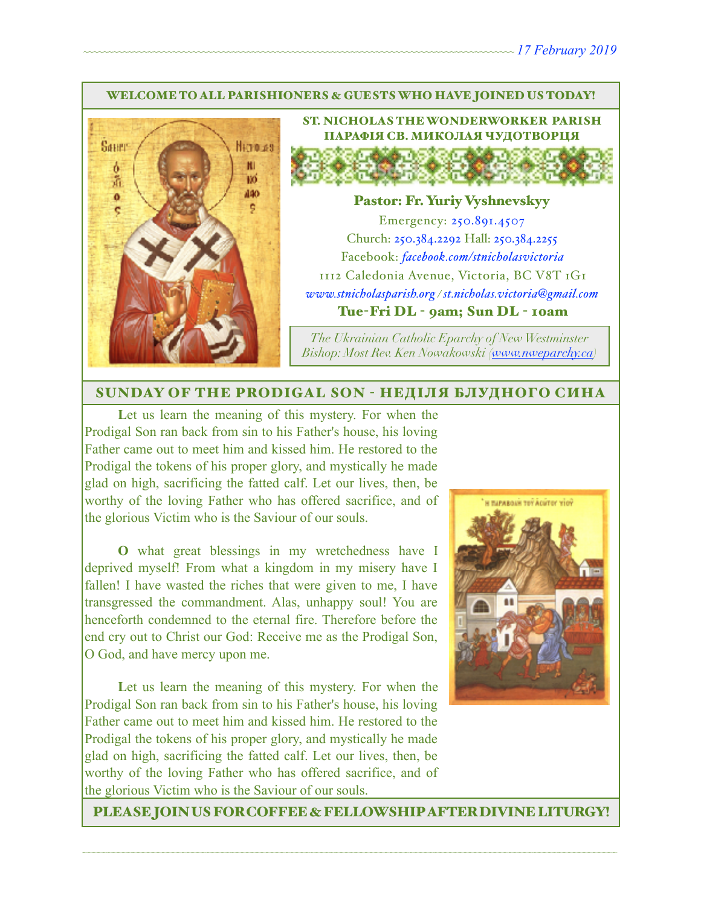#### WELCOME TO ALL PARISHIONERS & GUESTS WHO HAVE JOINED US TODAY!



ST. NICHOLAS THE WONDERWORKER PARISH ПАРАФІЯ СВ. МИКОЛАЯ ЧУДОТВОРЦЯ

#### Pastor: Fr. Yuriy Vyshnevskyy

Emergency: 250.891.4507 Church: 250.384.2292 Hall: 250.384.2255 Facebook: *[facebook.com/stnicholasvictoria](http://facebook.com/stnicholasvictoria)* 1112 Caledonia Avenue, Victoria, BC V8T 1G1 *[www.stnicholasparish.org](http://www.stnicholasparish.org) / [st.nicholas.victoria@gmail.com](mailto:st.nicholas.victoria@gmail.com)* Tue-Fri DL - 9am; Sun DL - 10am

*The Ukrainian Catholic Eparchy of New Westminster Bishop: Most Rev. Ken Nowakowski ([www.nweparchy.ca](http://www.nweparchy.ca))*

#### SUNDAY OF THE PRODIGAL SON - НЕДІЛЯ БЛУДНОГО СИНА

Let us learn the meaning of this mystery. For when the Prodigal Son ran back from sin to his Father's house, his loving Father came out to meet him and kissed him. He restored to the Prodigal the tokens of his proper glory, and mystically he made glad on high, sacrificing the fatted calf. Let our lives, then, be worthy of the loving Father who has offered sacrifice, and of the glorious Victim who is the Saviour of our souls.

**O** what great blessings in my wretchedness have I deprived myself! From what a kingdom in my misery have I fallen! I have wasted the riches that were given to me, I have transgressed the commandment. Alas, unhappy soul! You are henceforth condemned to the eternal fire. Therefore before the end cry out to Christ our God: Receive me as the Prodigal Son, O God, and have mercy upon me.

Let us learn the meaning of this mystery. For when the Prodigal Son ran back from sin to his Father's house, his loving Father came out to meet him and kissed him. He restored to the Prodigal the tokens of his proper glory, and mystically he made glad on high, sacrificing the fatted calf. Let our lives, then, be worthy of the loving Father who has offered sacrifice, and of the glorious Victim who is the Saviour of our souls.



PLEASE JOIN US FOR COFFEE & FELLOWSHIP AFTER DIVINE LITURGY!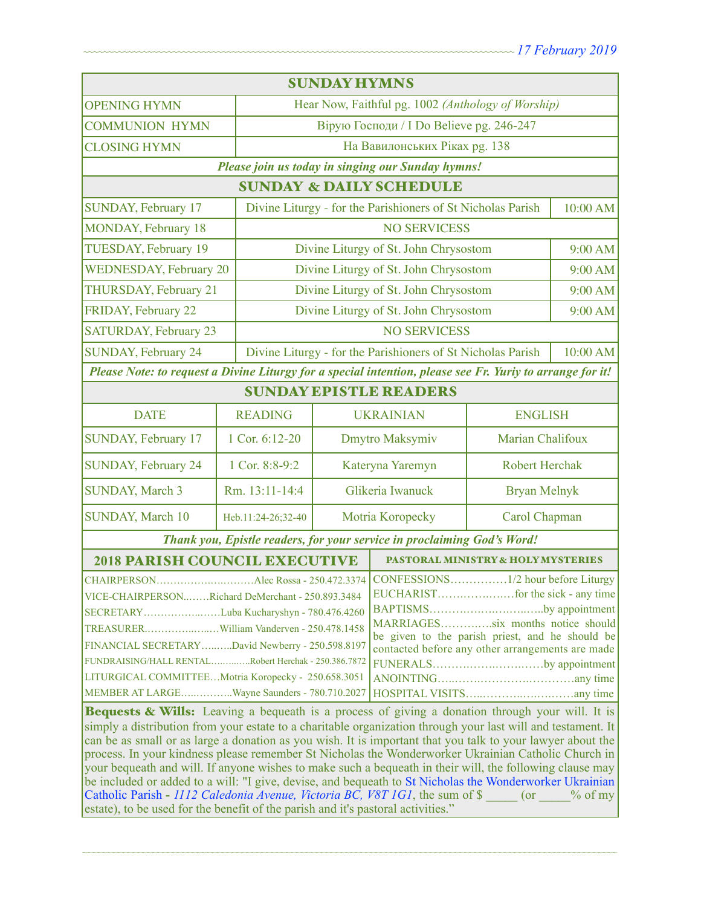| <b>SUNDAY HYMNS</b>                                                                                                                                                                                                                                                                                                                                                                                                                                                                                                                                                                                                                                                                                                                                                                                                                                                                                                                                                                                                                                                                                                                                                             |                    |                                                                         |                                    |                       |          |  |
|---------------------------------------------------------------------------------------------------------------------------------------------------------------------------------------------------------------------------------------------------------------------------------------------------------------------------------------------------------------------------------------------------------------------------------------------------------------------------------------------------------------------------------------------------------------------------------------------------------------------------------------------------------------------------------------------------------------------------------------------------------------------------------------------------------------------------------------------------------------------------------------------------------------------------------------------------------------------------------------------------------------------------------------------------------------------------------------------------------------------------------------------------------------------------------|--------------------|-------------------------------------------------------------------------|------------------------------------|-----------------------|----------|--|
| <b>OPENING HYMN</b>                                                                                                                                                                                                                                                                                                                                                                                                                                                                                                                                                                                                                                                                                                                                                                                                                                                                                                                                                                                                                                                                                                                                                             |                    | Hear Now, Faithful pg. 1002 (Anthology of Worship)                      |                                    |                       |          |  |
| <b>COMMUNION HYMN</b>                                                                                                                                                                                                                                                                                                                                                                                                                                                                                                                                                                                                                                                                                                                                                                                                                                                                                                                                                                                                                                                                                                                                                           |                    | Вірую Господи / I Do Believe pg. 246-247                                |                                    |                       |          |  |
| <b>CLOSING HYMN</b>                                                                                                                                                                                                                                                                                                                                                                                                                                                                                                                                                                                                                                                                                                                                                                                                                                                                                                                                                                                                                                                                                                                                                             |                    | На Вавилонських Ріках рд. 138                                           |                                    |                       |          |  |
| Please join us today in singing our Sunday hymns!                                                                                                                                                                                                                                                                                                                                                                                                                                                                                                                                                                                                                                                                                                                                                                                                                                                                                                                                                                                                                                                                                                                               |                    |                                                                         |                                    |                       |          |  |
| <b>SUNDAY &amp; DAILY SCHEDULE</b>                                                                                                                                                                                                                                                                                                                                                                                                                                                                                                                                                                                                                                                                                                                                                                                                                                                                                                                                                                                                                                                                                                                                              |                    |                                                                         |                                    |                       |          |  |
| <b>SUNDAY, February 17</b>                                                                                                                                                                                                                                                                                                                                                                                                                                                                                                                                                                                                                                                                                                                                                                                                                                                                                                                                                                                                                                                                                                                                                      |                    | Divine Liturgy - for the Parishioners of St Nicholas Parish             |                                    |                       | 10:00 AM |  |
| <b>MONDAY, February 18</b>                                                                                                                                                                                                                                                                                                                                                                                                                                                                                                                                                                                                                                                                                                                                                                                                                                                                                                                                                                                                                                                                                                                                                      |                    | <b>NO SERVICESS</b>                                                     |                                    |                       |          |  |
| TUESDAY, February 19                                                                                                                                                                                                                                                                                                                                                                                                                                                                                                                                                                                                                                                                                                                                                                                                                                                                                                                                                                                                                                                                                                                                                            |                    | Divine Liturgy of St. John Chrysostom                                   |                                    |                       |          |  |
| <b>WEDNESDAY, February 20</b>                                                                                                                                                                                                                                                                                                                                                                                                                                                                                                                                                                                                                                                                                                                                                                                                                                                                                                                                                                                                                                                                                                                                                   |                    | Divine Liturgy of St. John Chrysostom                                   |                                    |                       |          |  |
| THURSDAY, February 21                                                                                                                                                                                                                                                                                                                                                                                                                                                                                                                                                                                                                                                                                                                                                                                                                                                                                                                                                                                                                                                                                                                                                           |                    | Divine Liturgy of St. John Chrysostom                                   |                                    |                       | 9:00 AM  |  |
| FRIDAY, February 22                                                                                                                                                                                                                                                                                                                                                                                                                                                                                                                                                                                                                                                                                                                                                                                                                                                                                                                                                                                                                                                                                                                                                             |                    | Divine Liturgy of St. John Chrysostom                                   |                                    |                       | 9:00 AM  |  |
| <b>SATURDAY, February 23</b>                                                                                                                                                                                                                                                                                                                                                                                                                                                                                                                                                                                                                                                                                                                                                                                                                                                                                                                                                                                                                                                                                                                                                    |                    | <b>NO SERVICESS</b>                                                     |                                    |                       |          |  |
| <b>SUNDAY, February 24</b>                                                                                                                                                                                                                                                                                                                                                                                                                                                                                                                                                                                                                                                                                                                                                                                                                                                                                                                                                                                                                                                                                                                                                      |                    | Divine Liturgy - for the Parishioners of St Nicholas Parish<br>10:00 AM |                                    |                       |          |  |
| Please Note: to request a Divine Liturgy for a special intention, please see Fr. Yuriy to arrange for it!                                                                                                                                                                                                                                                                                                                                                                                                                                                                                                                                                                                                                                                                                                                                                                                                                                                                                                                                                                                                                                                                       |                    |                                                                         |                                    |                       |          |  |
| <b>SUNDAY EPISTLE READERS</b>                                                                                                                                                                                                                                                                                                                                                                                                                                                                                                                                                                                                                                                                                                                                                                                                                                                                                                                                                                                                                                                                                                                                                   |                    |                                                                         |                                    |                       |          |  |
| <b>DATE</b>                                                                                                                                                                                                                                                                                                                                                                                                                                                                                                                                                                                                                                                                                                                                                                                                                                                                                                                                                                                                                                                                                                                                                                     | <b>READING</b>     |                                                                         | <b>UKRAINIAN</b>                   | <b>ENGLISH</b>        |          |  |
| SUNDAY, February 17                                                                                                                                                                                                                                                                                                                                                                                                                                                                                                                                                                                                                                                                                                                                                                                                                                                                                                                                                                                                                                                                                                                                                             | 1 Cor. 6:12-20     |                                                                         | Dmytro Maksymiv                    | Marian Chalifoux      |          |  |
| <b>SUNDAY, February 24</b>                                                                                                                                                                                                                                                                                                                                                                                                                                                                                                                                                                                                                                                                                                                                                                                                                                                                                                                                                                                                                                                                                                                                                      | 1 Cor. 8:8-9:2     | Kateryna Yaremyn                                                        |                                    | <b>Robert Herchak</b> |          |  |
| <b>SUNDAY, March 3</b>                                                                                                                                                                                                                                                                                                                                                                                                                                                                                                                                                                                                                                                                                                                                                                                                                                                                                                                                                                                                                                                                                                                                                          | Rm. 13:11-14:4     | Glikeria Iwanuck                                                        |                                    | <b>Bryan Melnyk</b>   |          |  |
| SUNDAY, March 10                                                                                                                                                                                                                                                                                                                                                                                                                                                                                                                                                                                                                                                                                                                                                                                                                                                                                                                                                                                                                                                                                                                                                                | Heb.11:24-26;32-40 |                                                                         | Motria Koropecky<br>Carol Chapman  |                       |          |  |
| Thank you, Epistle readers, for your service in proclaiming God's Word!                                                                                                                                                                                                                                                                                                                                                                                                                                                                                                                                                                                                                                                                                                                                                                                                                                                                                                                                                                                                                                                                                                         |                    |                                                                         |                                    |                       |          |  |
| <b>2018 PARISH COUNCIL EXECUTIVE</b>                                                                                                                                                                                                                                                                                                                                                                                                                                                                                                                                                                                                                                                                                                                                                                                                                                                                                                                                                                                                                                                                                                                                            |                    |                                                                         | PASTORAL MINISTRY & HOLY MYSTERIES |                       |          |  |
| VICE-CHAIRPERSONRichard DeMerchant - 250.893.3484<br>BAPTISMSby appointment<br>SECRETARYLuba Kucharyshyn - 780.476.4260<br>MARRIAGESsix months notice should<br>be given to the parish priest, and he should be<br>FINANCIAL SECRETARYDavid Newberry - 250.598.8197<br>contacted before any other arrangements are made<br>FUNDRAISING/HALL RENTALRobert Herchak - 250.386.7872<br>FUNERALSby appointment<br>LITURGICAL COMMITTEEMotria Koropecky - 250.658.3051<br>MEMBER AT LARGEWayne Saunders - 780.710.2027<br>Bequests & Wills: Leaving a bequeath is a process of giving a donation through your will. It is<br>simply a distribution from your estate to a charitable organization through your last will and testament. It<br>can be as small or as large a donation as you wish. It is important that you talk to your lawyer about the<br>process. In your kindness please remember St Nicholas the Wonderworker Ukrainian Catholic Church in<br>your bequeath and will. If anyone wishes to make such a bequeath in their will, the following clause may<br>be included or added to a will: "I give, devise, and bequeath to St Nicholas the Wonderworker Ukrainian |                    |                                                                         |                                    |                       |          |  |
| Catholic Parish - 1112 Caledonia Avenue, Victoria BC, V8T 1G1, the sum of \$ (or % of my<br>estate), to be used for the benefit of the parish and it's pastoral activities."                                                                                                                                                                                                                                                                                                                                                                                                                                                                                                                                                                                                                                                                                                                                                                                                                                                                                                                                                                                                    |                    |                                                                         |                                    |                       |          |  |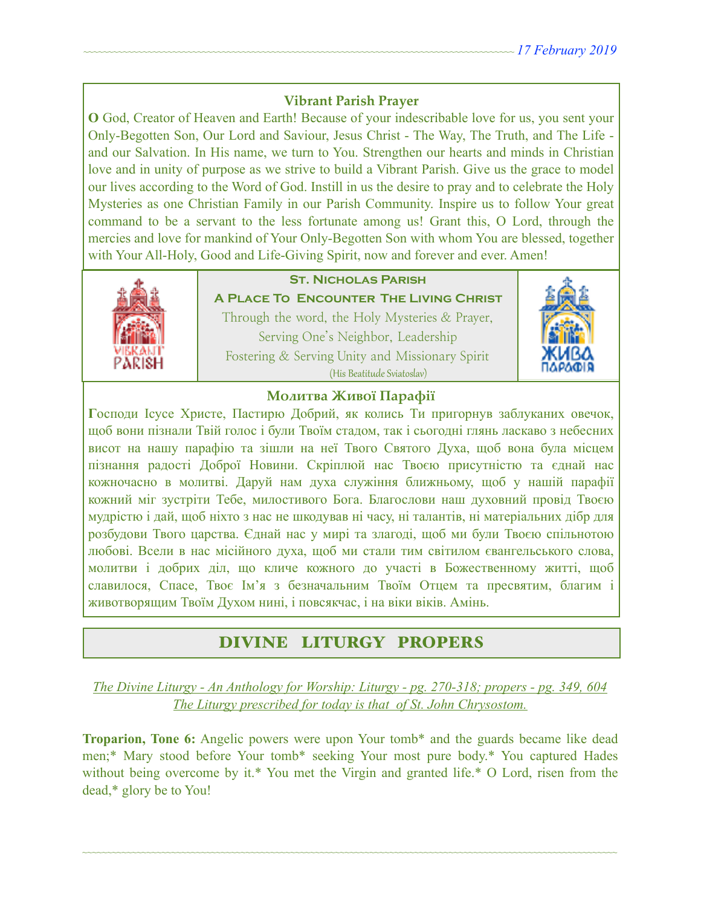#### **Vibrant Parish Prayer**

**O** God, Creator of Heaven and Earth! Because of your indescribable love for us, you sent your Only-Begotten Son, Our Lord and Saviour, Jesus Christ - The Way, The Truth, and The Life and our Salvation. In His name, we turn to You. Strengthen our hearts and minds in Christian love and in unity of purpose as we strive to build a Vibrant Parish. Give us the grace to model our lives according to the Word of God. Instill in us the desire to pray and to celebrate the Holy Mysteries as one Christian Family in our Parish Community. Inspire us to follow Your great command to be a servant to the less fortunate among us! Grant this, O Lord, through the mercies and love for mankind of Your Only-Begotten Son with whom You are blessed, together with Your All-Holy, Good and Life-Giving Spirit, now and forever and ever. Amen!



#### **St. Nicholas Parish**

**A Place To Encounter The Living Christ** Through the word, the Holy Mysteries & Prayer, Serving One's Neighbor, Leadership Fostering & Serving Unity and Missionary Spirit (His Beatitude Sviatoslav)



#### **Молитва Живої Парафії**

**Г**осподи Ісусе Христе, Пастирю Добрий, як колись Ти пригорнув заблуканих овечок, щоб вони пізнали Твій голос і були Твоїм стадом, так і сьогодні глянь ласкаво з небесних висот на нашу парафію та зішли на неї Твого Святого Духа, щоб вона була місцем пізнання радості Доброї Новини. Скріплюй нас Твоєю присутністю та єднай нас кожночасно в молитві. Даруй нам духа служіння ближньому, щоб у нашій парафії кожний міг зустріти Тебе, милостивого Бога. Благослови наш духовний провід Твоєю мудрістю і дай, щоб ніхто з нас не шкодував ні часу, ні талантів, ні матеріальних дібр для розбудови Твого царства. Єднай нас у мирі та злагоді, щоб ми були Твоєю спільнотою любові. Всели в нас місійного духа, щоб ми стали тим світилом євангельського слова, молитви і добрих діл, що кличе кожного до участі в Божественному житті, щоб славилося, Спасе, Твоє Ім'я з безначальним Твоїм Отцем та пресвятим, благим і животворящим Твоїм Духом нині, і повсякчас, і на віки віків. Амінь.

## DIVINE LITURGY PROPERS

#### *The Divine Liturgy - An Anthology for Worship: Liturgy - pg. 270-318; propers - pg. 349, 604 The Liturgy prescribed for today is that of St. John Chrysostom.*

**Troparion, Tone 6:** Angelic powers were upon Your tomb\* and the guards became like dead men;\* Mary stood before Your tomb\* seeking Your most pure body.\* You captured Hades without being overcome by it.\* You met the Virgin and granted life.\* O Lord, risen from the dead,\* glory be to You!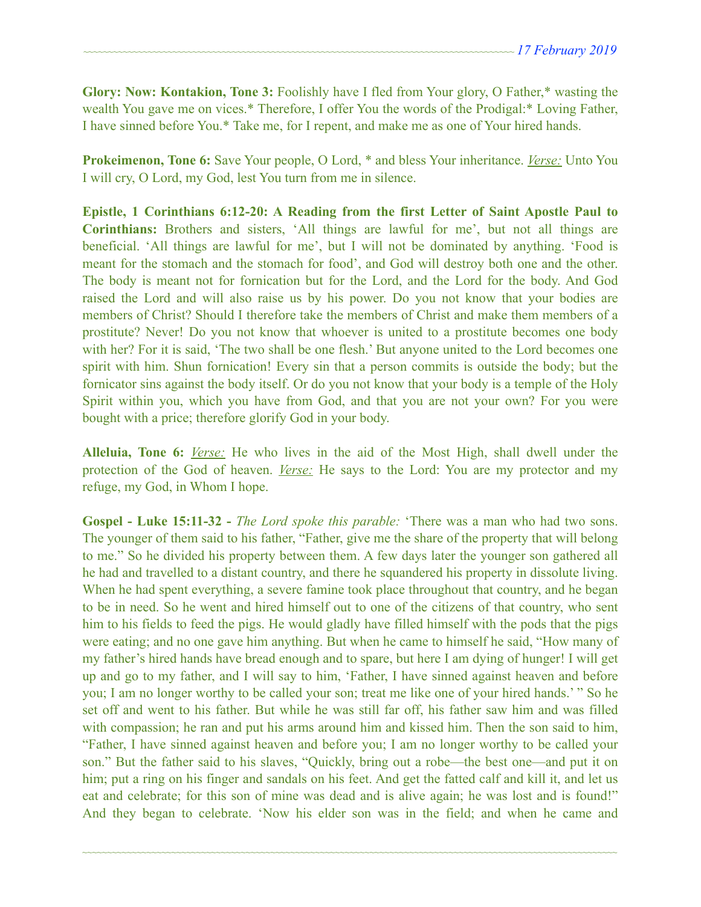**Glory: Now: Kontakion, Tone 3:** Foolishly have I fled from Your glory, O Father,\* wasting the wealth You gave me on vices.\* Therefore, I offer You the words of the Prodigal:\* Loving Father, I have sinned before You.\* Take me, for I repent, and make me as one of Your hired hands.

**Prokeimenon, Tone 6:** Save Your people, O Lord, \* and bless Your inheritance. *Verse:* Unto You I will cry, O Lord, my God, lest You turn from me in silence.

**Epistle, 1 Corinthians 6:12-20: A Reading from the first Letter of Saint Apostle Paul to Corinthians:** Brothers and sisters, 'All things are lawful for me', but not all things are beneficial. 'All things are lawful for me', but I will not be dominated by anything. 'Food is meant for the stomach and the stomach for food', and God will destroy both one and the other. The body is meant not for fornication but for the Lord, and the Lord for the body. And God raised the Lord and will also raise us by his power. Do you not know that your bodies are members of Christ? Should I therefore take the members of Christ and make them members of a prostitute? Never! Do you not know that whoever is united to a prostitute becomes one body with her? For it is said, 'The two shall be one flesh.' But anyone united to the Lord becomes one spirit with him. Shun fornication! Every sin that a person commits is outside the body; but the fornicator sins against the body itself. Or do you not know that your body is a temple of the Holy Spirit within you, which you have from God, and that you are not your own? For you were bought with a price; therefore glorify God in your body.

**Alleluia, Tone 6:** *Verse:* He who lives in the aid of the Most High, shall dwell under the protection of the God of heaven. *Verse:* He says to the Lord: You are my protector and my refuge, my God, in Whom I hope.

**Gospel - Luke 15:11-32 -** *The Lord spoke this parable:* 'There was a man who had two sons. The younger of them said to his father, "Father, give me the share of the property that will belong to me." So he divided his property between them. A few days later the younger son gathered all he had and travelled to a distant country, and there he squandered his property in dissolute living. When he had spent everything, a severe famine took place throughout that country, and he began to be in need. So he went and hired himself out to one of the citizens of that country, who sent him to his fields to feed the pigs. He would gladly have filled himself with the pods that the pigs were eating; and no one gave him anything. But when he came to himself he said, "How many of my father's hired hands have bread enough and to spare, but here I am dying of hunger! I will get up and go to my father, and I will say to him, 'Father, I have sinned against heaven and before you; I am no longer worthy to be called your son; treat me like one of your hired hands.' " So he set off and went to his father. But while he was still far off, his father saw him and was filled with compassion; he ran and put his arms around him and kissed him. Then the son said to him, "Father, I have sinned against heaven and before you; I am no longer worthy to be called your son." But the father said to his slaves, "Quickly, bring out a robe—the best one—and put it on him; put a ring on his finger and sandals on his feet. And get the fatted calf and kill it, and let us eat and celebrate; for this son of mine was dead and is alive again; he was lost and is found!" And they began to celebrate. 'Now his elder son was in the field; and when he came and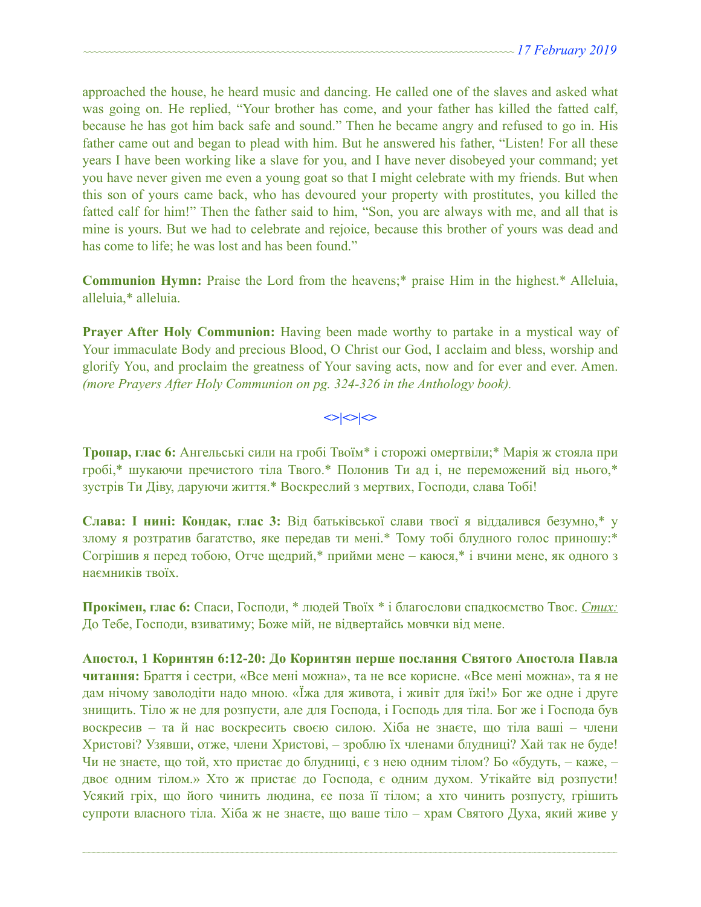approached the house, he heard music and dancing. He called one of the slaves and asked what was going on. He replied, "Your brother has come, and your father has killed the fatted calf, because he has got him back safe and sound." Then he became angry and refused to go in. His father came out and began to plead with him. But he answered his father, "Listen! For all these years I have been working like a slave for you, and I have never disobeyed your command; yet you have never given me even a young goat so that I might celebrate with my friends. But when this son of yours came back, who has devoured your property with prostitutes, you killed the fatted calf for him!" Then the father said to him, "Son, you are always with me, and all that is mine is yours. But we had to celebrate and rejoice, because this brother of yours was dead and has come to life; he was lost and has been found."

**Communion Hymn:** Praise the Lord from the heavens;\* praise Him in the highest.\* Alleluia, alleluia,\* alleluia.

**Prayer After Holy Communion:** Having been made worthy to partake in a mystical way of Your immaculate Body and precious Blood, O Christ our God, I acclaim and bless, worship and glorify You, and proclaim the greatness of Your saving acts, now and for ever and ever. Amen. *(more Prayers After Holy Communion on pg. 324-326 in the Anthology book).* 

### $\left| \diamond \right| \diamond \left| \diamond \right|$

**Тропар, глас 6:** Ангельські сили на гробі Твоїм\* і сторожі омертвіли;\* Марія ж стояла при гробі,\* шукаючи пречистого тіла Твого.\* Полонив Ти ад і, не переможений від нього,\* зустрів Ти Діву, даруючи життя.\* Воскреслий з мертвих, Господи, слава Тобі!

**Слава: І нині: Кондак, глас 3:** Від батьківської слави твоєї я віддалився безумно,\* у злому я розтратив багатство, яке передав ти мені.\* Тому тобі блудного голос приношу:\* Согрішив я перед тобою, Отче щедрий,\* прийми мене – каюся,\* і вчини мене, як одного з наємників твоїх.

**Прокімен, глас 6:** Спаси, Господи, \* людей Твоїх \* і благослови спадкоємство Твоє. *Стих:* До Тебе, Господи, взиватиму; Боже мій, не відвертайсь мовчки від мене.

**Апостол, 1 Коринтян 6:12-20: До Коринтян перше послання Святого Апостола Павла читання:** Браття і сестри, «Все мені можна», та не все корисне. «Все мені можна», та я не дам нічому заволодіти надо мною. «Їжа для живота, і живіт для їжі!» Бог же одне і друге знищить. Тіло ж не для розпусти, але для Господа, і Господь для тіла. Бог же і Господа був воскресив – та й нас воскресить своєю силою. Хіба не знаєте, що тіла ваші – члени Христові? Узявши, отже, члени Христові, – зроблю їх членами блудниці? Хай так не буде! Чи не знаєте, що той, хто пристає до блудниці, є з нею одним тілом? Бо «будуть, – каже, – двоє одним тілом.» Хто ж пристає до Господа, є одним духом. Утікайте від розпусти! Усякий гріх, що його чинить людина, єе поза її тілом; а хто чинить розпусту, грішить супроти власного тіла. Хіба ж не знаєте, що ваше тіло – храм Святого Духа, який живе у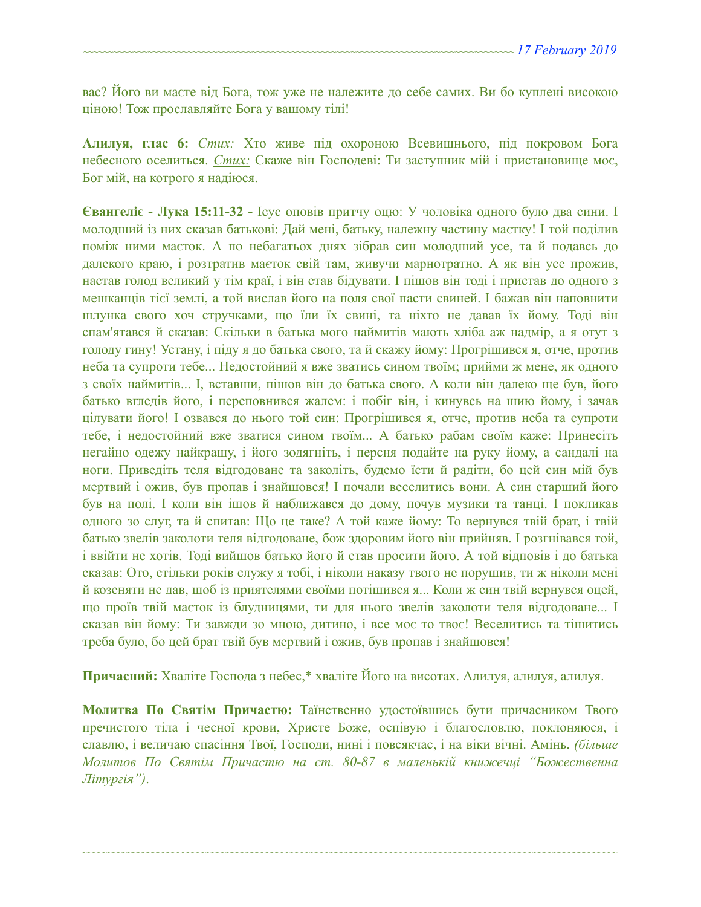вас? Його ви маєте від Бога, тож уже не належите до себе самих. Ви бо куплені високою ціною! Тож прославляйте Бога у вашому тілі!

**Алилуя, глас 6:** *Стих:* Хто живе під охороною Всевишнього, під покровом Бога небесного оселиться. *Стих:* Скаже він Господеві: Ти заступник мій і пристановище моє, Бог мій, на котрого я надіюся.

**Євангеліє - Лука 15:11-32 -** Ісус оповів притчу оцю: У чоловіка одного було два сини. І молодший із них сказав батькові: Дай мені, батьку, належну частину маєтку! І той поділив поміж ними маєток. А по небагатьох днях зібрав син молодший усе, та й подавсь до далекого краю, і розтратив маєток свій там, живучи марнотратно. А як він усе прожив, настав голод великий у тім краї, і він став бідувати. І пішов він тоді і пристав до одного з мешканців тієї землі, а той вислав його на поля свої пасти свиней. І бажав він наповнити шлунка свого хоч стручками, що їли їх свині, та ніхто не давав їх йому. Тоді він спам'ятався й сказав: Скільки в батька мого наймитів мають хліба аж надмір, а я отут з голоду гину! Устану, і піду я до батька свого, та й скажу йому: Прогрішився я, отче, против неба та супроти тебе... Недостойний я вже зватись сином твоїм; прийми ж мене, як одного з своїх наймитів... І, вставши, пішов він до батька свого. А коли він далеко ще був, його батько вгледів його, і переповнився жалем: і побіг він, і кинувсь на шию йому, і зачав цілувати його! І озвався до нього той син: Прогрішився я, отче, против неба та супроти тебе, і недостойний вже зватися сином твоїм... А батько рабам своїм каже: Принесіть негайно одежу найкращу, і його зодягніть, і персня подайте на руку йому, а сандалі на ноги. Приведіть теля відгодоване та заколіть, будемо їсти й радіти, бо цей син мій був мертвий і ожив, був пропав і знайшовся! І почали веселитись вони. А син старший його був на полі. І коли він ішов й наближався до дому, почув музики та танці. І покликав одного зо слуг, та й спитав: Що це таке? А той каже йому: То вернувся твій брат, і твій батько звелів заколоти теля відгодоване, бож здоровим його він прийняв. І розгнівався той, і ввійти не хотів. Тоді вийшов батько його й став просити його. А той відповів і до батька сказав: Ото, стільки років служу я тобі, і ніколи наказу твого не порушив, ти ж ніколи мені й козеняти не дав, щоб із приятелями своїми потішився я... Коли ж син твій вернувся оцей, що проїв твій маєток із блудницями, ти для нього звелів заколоти теля відгодоване... І сказав він йому: Ти завжди зо мною, дитино, і все моє то твоє! Веселитись та тішитись треба було, бо цей брат твій був мертвий і ожив, був пропав і знайшовся!

**Причасний:** Хваліте Господа з небес,\* хваліте Його на висотах. Алилуя, алилуя, алилуя.

**Молитва По Святім Причастю:** Таїнственно удостоївшись бути причасником Твого пречистого тіла і чесної крови, Христе Боже, оспівую і благословлю, поклоняюся, і славлю, і величаю спасіння Твої, Господи, нині і повсякчас, і на віки вічні. Амінь. *(більше Молитов По Святім Причастю на ст. 80-87 в маленькій книжечці "Божественна Літургія")*.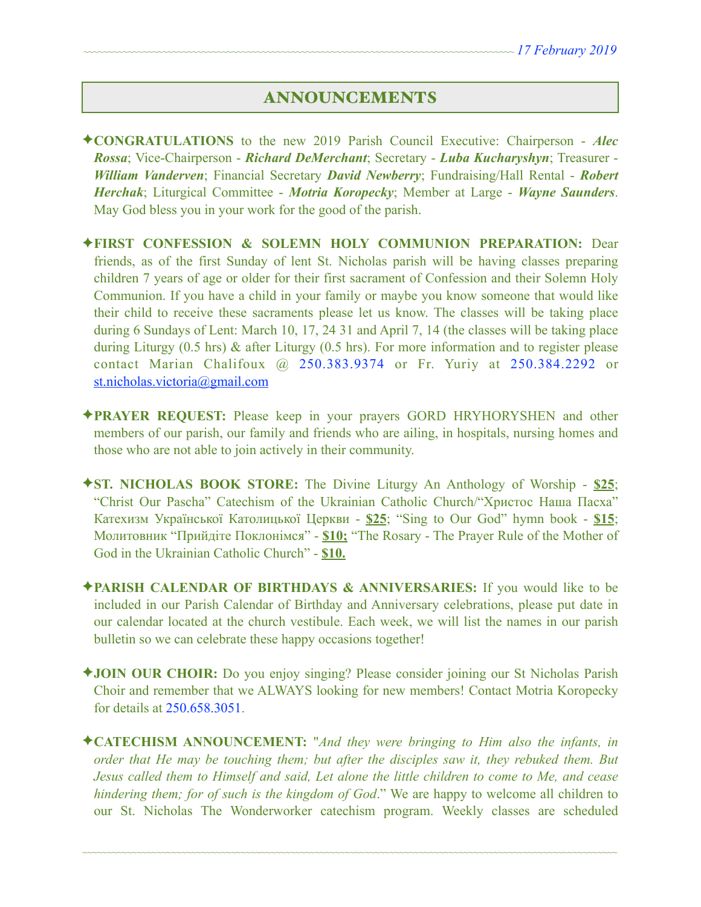#### ANNOUNCEMENTS

- ✦**CONGRATULATIONS** to the new 2019 Parish Council Executive: Chairperson *Alec Rossa*; Vice-Chairperson - *Richard DeMerchant*; Secretary - *Luba Kucharyshyn*; Treasurer - *William Vanderven*; Financial Secretary *David Newberry*; Fundraising/Hall Rental - *Robert Herchak*; Liturgical Committee - *Motria Koropecky*; Member at Large - *Wayne Saunders*. May God bless you in your work for the good of the parish.
- ✦**FIRST CONFESSION & SOLEMN HOLY COMMUNION PREPARATION:** Dear friends, as of the first Sunday of lent St. Nicholas parish will be having classes preparing children 7 years of age or older for their first sacrament of Confession and their Solemn Holy Communion. If you have a child in your family or maybe you know someone that would like their child to receive these sacraments please let us know. The classes will be taking place during 6 Sundays of Lent: March 10, 17, 24 31 and April 7, 14 (the classes will be taking place during Liturgy (0.5 hrs) & after Liturgy (0.5 hrs). For more information and to register please contact Marian Chalifoux @ 250.383.9374 or Fr. Yuriy at 250.384.2292 or [st.nicholas.victoria@gmail.com](mailto:st.nicholas.victoria@gmail.com)
- ✦**PRAYER REQUEST:** Please keep in your prayers GORD HRYHORYSHEN and other members of our parish, our family and friends who are ailing, in hospitals, nursing homes and those who are not able to join actively in their community.
- ✦**ST. NICHOLAS BOOK STORE:** The Divine Liturgy An Anthology of Worship **\$25**; "Christ Our Pascha" Catechism of the Ukrainian Catholic Church/"Христос Наша Пасха" Катехизм Української Католицької Церкви - **\$25**; "Sing to Our God" hymn book - **\$15**; Молитовник "Прийдіте Поклонімся" - **\$10;** "The Rosary - The Prayer Rule of the Mother of God in the Ukrainian Catholic Church" - **\$10.**
- ✦**PARISH CALENDAR OF BIRTHDAYS & ANNIVERSARIES:** If you would like to be included in our Parish Calendar of Birthday and Anniversary celebrations, please put date in our calendar located at the church vestibule. Each week, we will list the names in our parish bulletin so we can celebrate these happy occasions together!
- ✦**JOIN OUR CHOIR:** Do you enjoy singing? Please consider joining our St Nicholas Parish Choir and remember that we ALWAYS looking for new members! Contact Motria Koropecky for details at 250.658.3051.
- ✦**CATECHISM ANNOUNCEMENT:** "*And they were bringing to Him also the infants, in order that He may be touching them; but after the disciples saw it, they rebuked them. But Jesus called them to Himself and said, Let alone the little children to come to Me, and cease hindering them; for of such is the kingdom of God*." We are happy to welcome all children to our St. Nicholas The Wonderworker catechism program. Weekly classes are scheduled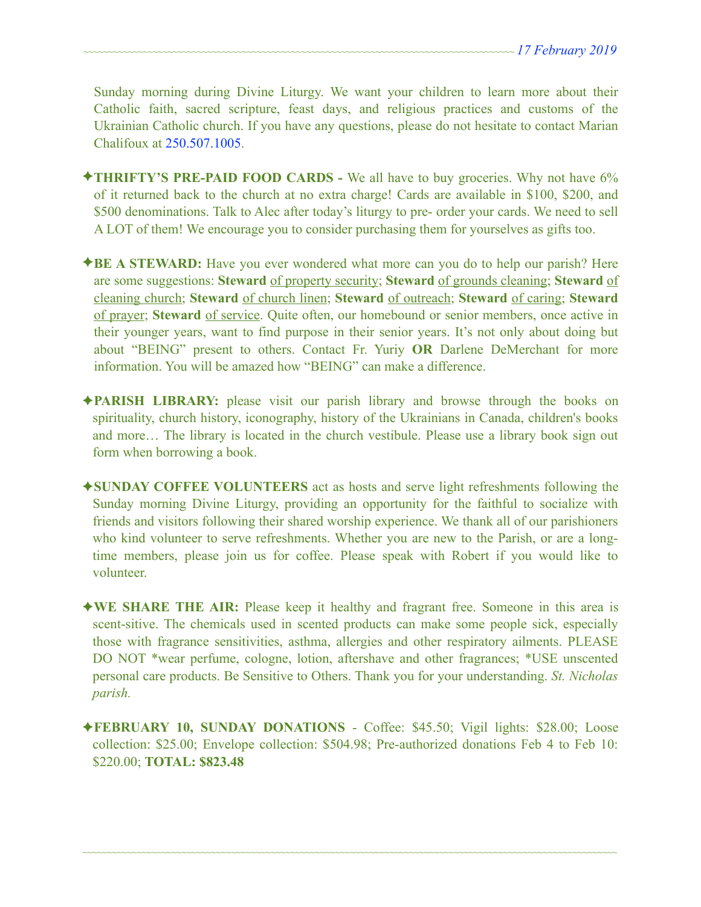Sunday morning during Divine Liturgy. We want your children to learn more about their Catholic faith, sacred scripture, feast days, and religious practices and customs of the Ukrainian Catholic church. If you have any questions, please do not hesitate to contact Marian Chalifoux at 250.507.1005.

- ✦**THRIFTY'S PRE-PAID FOOD CARDS** We all have to buy groceries. Why not have 6% of it returned back to the church at no extra charge! Cards are available in \$100, \$200, and \$500 denominations. Talk to Alec after today's liturgy to pre- order your cards. We need to sell A LOT of them! We encourage you to consider purchasing them for yourselves as gifts too.
- ✦**BE A STEWARD:** Have you ever wondered what more can you do to help our parish? Here are some suggestions: **Steward** of property security; **Steward** of grounds cleaning; **Steward** of cleaning church; **Steward** of church linen; **Steward** of outreach; **Steward** of caring; **Steward** of prayer; **Steward** of service. Quite often, our homebound or senior members, once active in their younger years, want to find purpose in their senior years. It's not only about doing but about "BEING" present to others. Contact Fr. Yuriy **OR** Darlene DeMerchant for more information. You will be amazed how "BEING" can make a difference.
- ✦**PARISH LIBRARY:** please visit our parish library and browse through the books on spirituality, church history, iconography, history of the Ukrainians in Canada, children's books and more… The library is located in the church vestibule. Please use a library book sign out form when borrowing a book.
- ✦**SUNDAY COFFEE VOLUNTEERS** act as hosts and serve light refreshments following the Sunday morning Divine Liturgy, providing an opportunity for the faithful to socialize with friends and visitors following their shared worship experience. We thank all of our parishioners who kind volunteer to serve refreshments. Whether you are new to the Parish, or are a longtime members, please join us for coffee. Please speak with Robert if you would like to volunteer.
- ✦**WE SHARE THE AIR:** Please keep it healthy and fragrant free. Someone in this area is scent-sitive. The chemicals used in scented products can make some people sick, especially those with fragrance sensitivities, asthma, allergies and other respiratory ailments. PLEASE DO NOT \*wear perfume, cologne, lotion, aftershave and other fragrances; \*USE unscented personal care products. Be Sensitive to Others. Thank you for your understanding. *St. Nicholas parish.*
- ✦**FEBRUARY 10, SUNDAY DONATIONS**  Coffee: \$45.50; Vigil lights: \$28.00; Loose collection: \$25.00; Envelope collection: \$504.98; Pre-authorized donations Feb 4 to Feb 10: \$220.00; **TOTAL: \$823.48**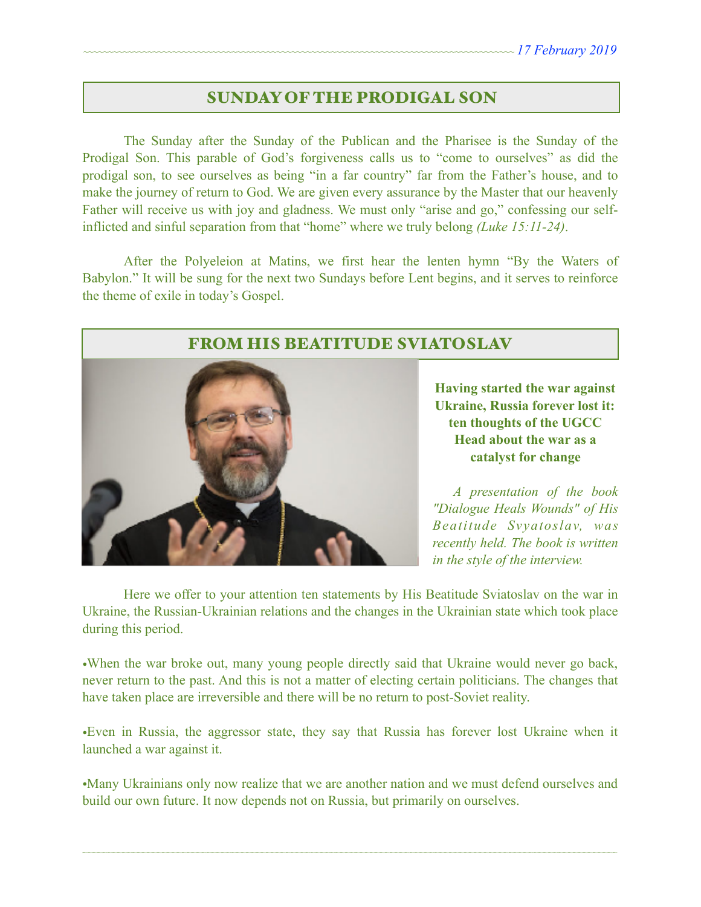# SUNDAY OF THE PRODIGAL SON

 The Sunday after the Sunday of the Publican and the Pharisee is the Sunday of the Prodigal Son. This parable of God's forgiveness calls us to "come to ourselves" as did the prodigal son, to see ourselves as being "in a far country" far from the Father's house, and to make the journey of return to God. We are given every assurance by the Master that our heavenly Father will receive us with joy and gladness. We must only "arise and go," confessing our selfinflicted and sinful separation from that "home" where we truly belong *(Luke 15:11-24)*.

After the Polyeleion at Matins, we first hear the lenten hymn "By the Waters of Babylon." It will be sung for the next two Sundays before Lent begins, and it serves to reinforce the theme of exile in today's Gospel.



**Having started the war against Ukraine, Russia forever lost it: ten thoughts of the UGCC Head about the war as a catalyst for change** 

 *A presentation of the book "Dialogue Heals Wounds" of His Beatitude Svyatoslav, was recently held. The book is written in the style of the interview.* 

 Here we offer to your attention ten statements by His Beatitude Sviatoslav on the war in Ukraine, the Russian-Ukrainian relations and the changes in the Ukrainian state which took place during this period.

•When the war broke out, many young people directly said that Ukraine would never go back, never return to the past. And this is not a matter of electing certain politicians. The changes that have taken place are irreversible and there will be no return to post-Soviet reality.

•Even in Russia, the aggressor state, they say that Russia has forever lost Ukraine when it launched a war against it.

•Many Ukrainians only now realize that we are another nation and we must defend ourselves and build our own future. It now depends not on Russia, but primarily on ourselves.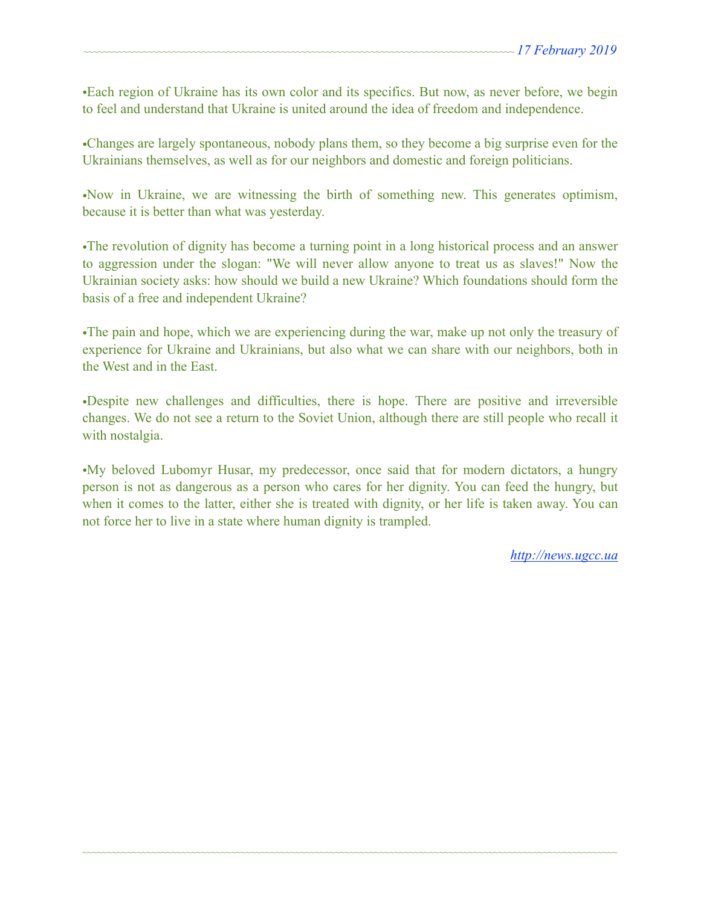•Each region of Ukraine has its own color and its specifics. But now, as never before, we begin to feel and understand that Ukraine is united around the idea of freedom and independence.

•Changes are largely spontaneous, nobody plans them, so they become a big surprise even for the Ukrainians themselves, as well as for our neighbors and domestic and foreign politicians.

•Now in Ukraine, we are witnessing the birth of something new. This generates optimism, because it is better than what was yesterday.

•The revolution of dignity has become a turning point in a long historical process and an answer to aggression under the slogan: "We will never allow anyone to treat us as slaves!" Now the Ukrainian society asks: how should we build a new Ukraine? Which foundations should form the basis of a free and independent Ukraine?

•The pain and hope, which we are experiencing during the war, make up not only the treasury of experience for Ukraine and Ukrainians, but also what we can share with our neighbors, both in the West and in the East.

•Despite new challenges and difficulties, there is hope. There are positive and irreversible changes. We do not see a return to the Soviet Union, although there are still people who recall it with nostalgia.

•My beloved Lubomyr Husar, my predecessor, once said that for modern dictators, a hungry person is not as dangerous as a person who cares for her dignity. You can feed the hungry, but when it comes to the latter, either she is treated with dignity, or her life is taken away. You can not force her to live in a state where human dignity is trampled.

~~~~~~~~~~~~~~~~~~~~~~~~~~~~~~~~~~~~~~~~~~~~~~~~~~~~~~~~~~~~~~~~~~~~~~~~~~~~~~~~~~~~~~~~~~~~~~~~~~~~~~~~~~~~

*<http://news.ugcc.ua>*